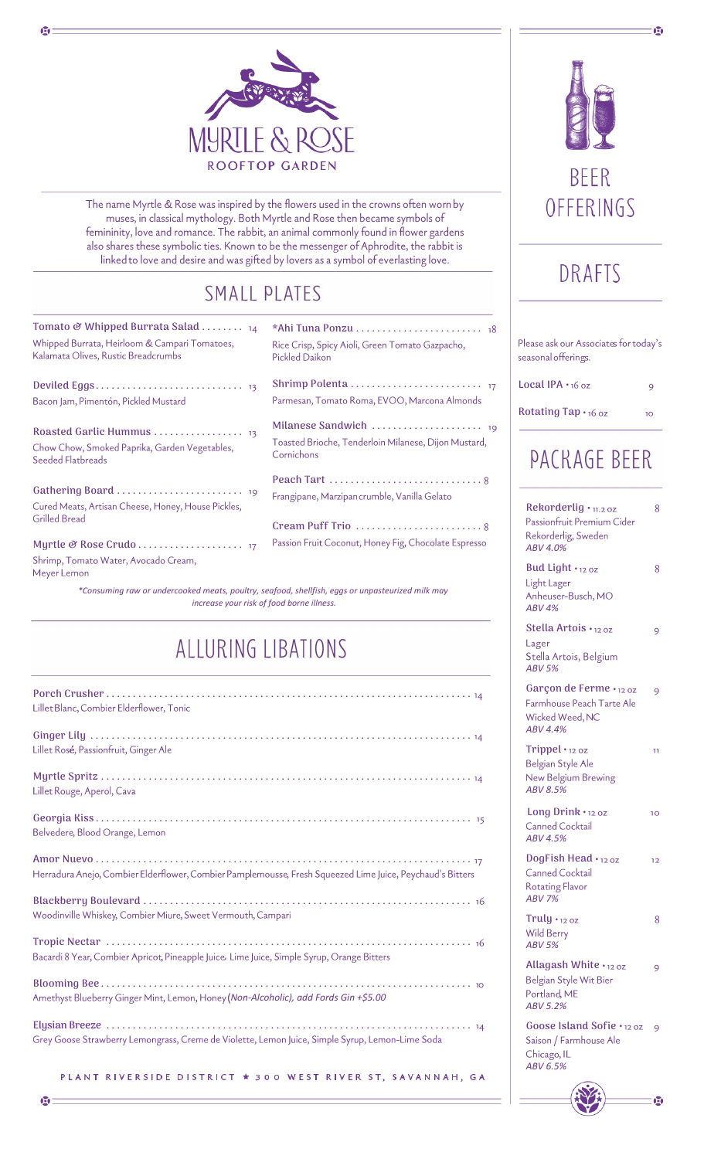

The name Myrtle & Rose was inspired by the flowers used in the crowns often worn by muses, in classical mythology. Both Myrtle and Rose then became symbols of femininity, love and romance. The rabbit, an animal commonly found in flower gardens also shares these symbolic ties. Known to be the messenger of Aphrodite, the rabbit is linked to love and desire and was gifted by lovers as a symbol of everlasting love.

### SMALL PLATES

| Tomato & Whipped Burrata Salad $_{14}$<br>Whipped Burrata, Heirloom & Campari Tomatoes,<br>Kalamata Olives, Rustic Breadcrumbs                                                                                                           | *Ahi Tuna Ponzu  18<br>Rice Crisp, Spicy Aioli, Green Tomato Gazpacho,<br>Pickled Daikon |
|------------------------------------------------------------------------------------------------------------------------------------------------------------------------------------------------------------------------------------------|------------------------------------------------------------------------------------------|
| Bacon Jam, Pimentón, Pickled Mustard                                                                                                                                                                                                     | Parmesan, Tomato Roma, EVOO, Marcona Almonds                                             |
| Chow Chow, Smoked Paprika, Garden Vegetables,<br>Seeded Flatbreads                                                                                                                                                                       | Toasted Brioche, Tenderloin Milanese, Dijon Mustard,<br>Cornichons                       |
| Cured Meats, Artisan Cheese, Honey, House Pickles,<br>Grilled Bread                                                                                                                                                                      | Frangipane, Marzipan crumble, Vanilla Gelato                                             |
|                                                                                                                                                                                                                                          | Cream Puff Trio 8                                                                        |
| Shrimp, Tomato Water, Avocado Cream,<br>Meyer Lemon                                                                                                                                                                                      | Passion Fruit Coconut, Honey Fig, Chocolate Espresso                                     |
| $\omega_{\mathcal{A}}$ , and the contract of the contract of the contract of the contract of the contract of the contract of the contract of the contract of the contract of the contract of the contract of the contract of the contrac |                                                                                          |

*\*Consuming raw or undercooked meats, poultry, seafood, shellfish, eggs or unpasteurized milk may increase your risk of food borne illness.*

## ALLURING LIBATIONS

| Lillet Blanc, Combier Elderflower, Tonic                                                                  |
|-----------------------------------------------------------------------------------------------------------|
| Lillet Rosé, Passionfruit, Ginger Ale                                                                     |
| Lillet Rouge, Aperol, Cava                                                                                |
| Belvedere, Blood Orange, Lemon                                                                            |
| Herradura Anejo, Combier Elderflower, Combier Pamplemousse, Fresh Squeezed Lime Juice, Peychaud's Bitters |
| Woodinville Whiskey, Combier Miure, Sweet Vermouth, Campari                                               |
| Bacardi 8 Year, Combier Apricot, Pineapple Juice, Lime Juice, Simple Syrup, Orange Bitters                |
| Amethyst Blueberry Ginger Mint, Lemon, Honey (Non-Alcoholic), add Fords Gin +\$5.00                       |
| Grey Goose Strawberry Lemongrass, Creme de Violette, Lemon Juice, Simple Syrup, Lemon-Lime Soda           |
| PLANT RIVERSIDE DISTRICT * 300 WEST RIVER ST, SAVANNAH, GA                                                |



闰

# DRAFTS

| Please ask our Associates for today's<br>seasonal offerings.                               |    |  |
|--------------------------------------------------------------------------------------------|----|--|
| $Local$ IPA $\cdot$ 16 oz                                                                  | 9  |  |
| Rotating Tap $\cdot$ 16 oz                                                                 | 10 |  |
| <b>PACKAGE BEER</b>                                                                        |    |  |
| Rekorderlig • 11.2 oz<br>Passionfruit Premium Cider<br>Rekorderlig, Sweden<br>ABV 4.0%     | 8  |  |
| Bud Light · 12 oz<br>Light Lager<br>Anheuser-Busch, MO<br><b>ABV 4%</b>                    | 8  |  |
| Stella Artois · 12 oz<br>Lager<br>Stella Artois, Belgium<br><b>ABV 5%</b>                  | 9  |  |
| Garçon de Ferme · 12 oz<br>Farmhouse Peach Tarte Ale<br>Wicked Weed, NC<br><b>ABV 4.4%</b> | 9  |  |
| Trippel · 12 oz<br>Belgian Style Ale<br>New Belgium Brewing<br>ABV 8.5%                    | 11 |  |
| Long Drink • 12 oz<br><b>Canned Cocktail</b><br><b>ABV 4.5%</b>                            | 10 |  |
| DogFish Head · 120z<br>Canned Cocktail<br><b>Rotating Flavor</b><br><b>ABV 7%</b>          | 12 |  |
| Truly $\cdot$ 12 oz<br>Wild Berry<br><b>ABV 5%</b>                                         | 8  |  |
| Allagash White $\cdot$ 12 oz<br>Belgian Style Wit Bier<br>Portland, ME<br>ABV 5.2%         | 9  |  |
| Goose Island Sofie · 12 oz<br>Saison / Farmhouse Ale<br>Chicago, IL<br>ABV 6.5%            | 9  |  |

G

Ф